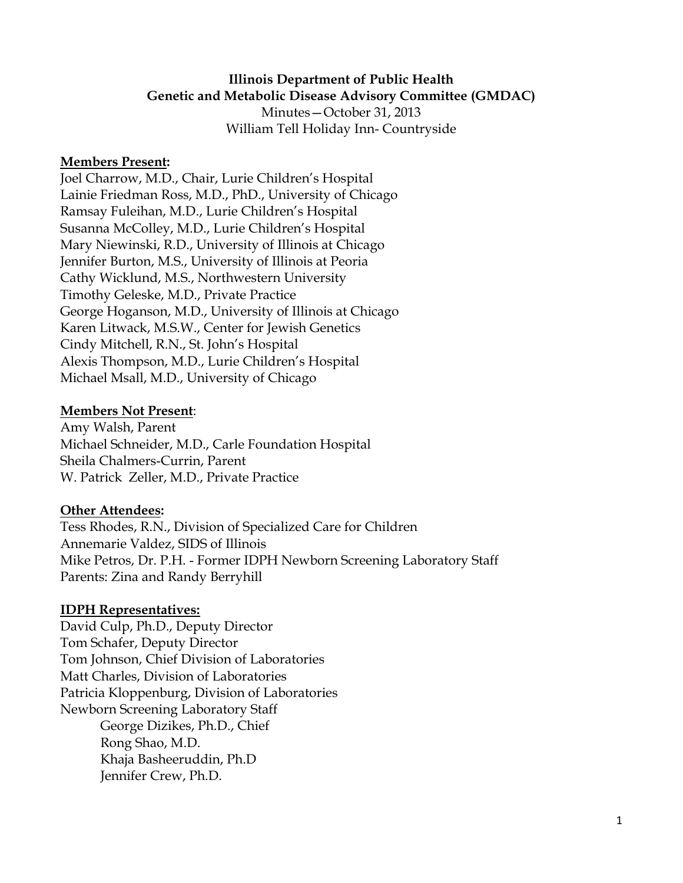#### **Illinois Department of Public Health Genetic and Metabolic Disease Advisory Committee (GMDAC)**

Minutes—October 31, 2013 William Tell Holiday Inn- Countryside

#### **Members Present:**

Joel Charrow, M.D., Chair, Lurie Children's Hospital Lainie Friedman Ross, M.D., PhD., University of Chicago Ramsay Fuleihan, M.D., Lurie Children's Hospital Susanna McColley, M.D., Lurie Children's Hospital Mary Niewinski, R.D., University of Illinois at Chicago Jennifer Burton, M.S., University of Illinois at Peoria Cathy Wicklund, M.S., Northwestern University Timothy Geleske, M.D., Private Practice George Hoganson, M.D., University of Illinois at Chicago Karen Litwack, M.S.W., Center for Jewish Genetics Cindy Mitchell, R.N., St. John's Hospital Alexis Thompson, M.D., Lurie Children's Hospital Michael Msall, M.D., University of Chicago

#### **Members Not Present**:

Amy Walsh, Parent Michael Schneider, M.D., Carle Foundation Hospital Sheila Chalmers-Currin, Parent W. Patrick Zeller, M.D., Private Practice

### **Other Attendees:**

Tess Rhodes, R.N., Division of Specialized Care for Children Annemarie Valdez, SIDS of Illinois Mike Petros, Dr. P.H. - Former IDPH Newborn Screening Laboratory Staff Parents: Zina and Randy Berryhill

### **IDPH Representatives:**

David Culp, Ph.D., Deputy Director Tom Schafer, Deputy Director Tom Johnson, Chief Division of Laboratories Matt Charles, Division of Laboratories Patricia Kloppenburg, Division of Laboratories Newborn Screening Laboratory Staff George Dizikes, Ph.D., Chief Rong Shao, M.D. Khaja Basheeruddin, Ph.D Jennifer Crew, Ph.D.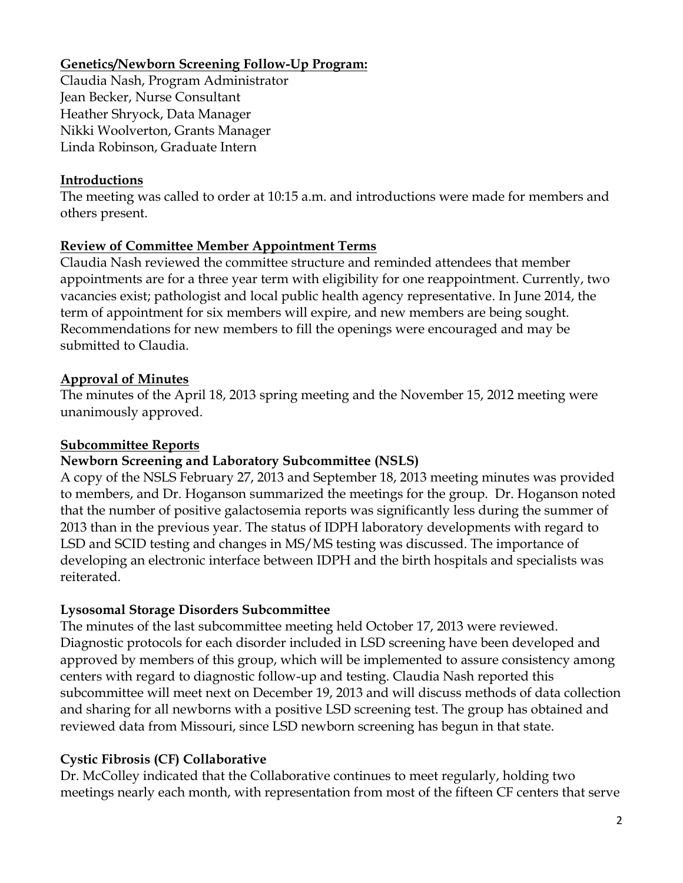## **Genetics/Newborn Screening Follow-Up Program:**

Claudia Nash, Program Administrator Jean Becker, Nurse Consultant Heather Shryock, Data Manager Nikki Woolverton, Grants Manager Linda Robinson, Graduate Intern

### **Introductions**

The meeting was called to order at 10:15 a.m. and introductions were made for members and others present.

## **Review of Committee Member Appointment Terms**

Claudia Nash reviewed the committee structure and reminded attendees that member appointments are for a three year term with eligibility for one reappointment. Currently, two vacancies exist; pathologist and local public health agency representative. In June 2014, the term of appointment for six members will expire, and new members are being sought. Recommendations for new members to fill the openings were encouraged and may be submitted to Claudia.

## **Approval of Minutes**

The minutes of the April 18, 2013 spring meeting and the November 15, 2012 meeting were unanimously approved.

### **Subcommittee Reports**

# **Newborn Screening and Laboratory Subcommittee (NSLS)**

A copy of the NSLS February 27, 2013 and September 18, 2013 meeting minutes was provided to members, and Dr. Hoganson summarized the meetings for the group. Dr. Hoganson noted that the number of positive galactosemia reports was significantly less during the summer of 2013 than in the previous year. The status of IDPH laboratory developments with regard to LSD and SCID testing and changes in MS/MS testing was discussed. The importance of developing an electronic interface between IDPH and the birth hospitals and specialists was reiterated.

# **Lysosomal Storage Disorders Subcommittee**

The minutes of the last subcommittee meeting held October 17, 2013 were reviewed. Diagnostic protocols for each disorder included in LSD screening have been developed and approved by members of this group, which will be implemented to assure consistency among centers with regard to diagnostic follow-up and testing. Claudia Nash reported this subcommittee will meet next on December 19, 2013 and will discuss methods of data collection and sharing for all newborns with a positive LSD screening test. The group has obtained and reviewed data from Missouri, since LSD newborn screening has begun in that state.

# **Cystic Fibrosis (CF) Collaborative**

Dr. McColley indicated that the Collaborative continues to meet regularly, holding two meetings nearly each month, with representation from most of the fifteen CF centers that serve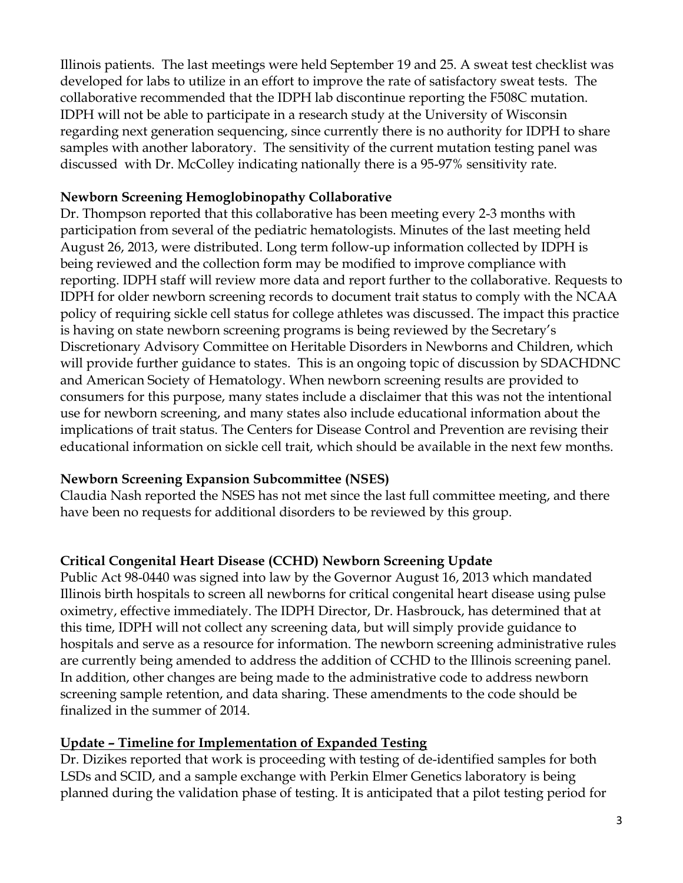Illinois patients. The last meetings were held September 19 and 25. A sweat test checklist was developed for labs to utilize in an effort to improve the rate of satisfactory sweat tests. The collaborative recommended that the IDPH lab discontinue reporting the F508C mutation. IDPH will not be able to participate in a research study at the University of Wisconsin regarding next generation sequencing, since currently there is no authority for IDPH to share samples with another laboratory. The sensitivity of the current mutation testing panel was discussed with Dr. McColley indicating nationally there is a 95-97% sensitivity rate.

#### **Newborn Screening Hemoglobinopathy Collaborative**

Dr. Thompson reported that this collaborative has been meeting every 2-3 months with participation from several of the pediatric hematologists. Minutes of the last meeting held August 26, 2013, were distributed. Long term follow-up information collected by IDPH is being reviewed and the collection form may be modified to improve compliance with reporting. IDPH staff will review more data and report further to the collaborative. Requests to IDPH for older newborn screening records to document trait status to comply with the NCAA policy of requiring sickle cell status for college athletes was discussed. The impact this practice is having on state newborn screening programs is being reviewed by the Secretary's Discretionary Advisory Committee on Heritable Disorders in Newborns and Children, which will provide further guidance to states. This is an ongoing topic of discussion by SDACHDNC and American Society of Hematology. When newborn screening results are provided to consumers for this purpose, many states include a disclaimer that this was not the intentional use for newborn screening, and many states also include educational information about the implications of trait status. The Centers for Disease Control and Prevention are revising their educational information on sickle cell trait, which should be available in the next few months.

### **Newborn Screening Expansion Subcommittee (NSES)**

Claudia Nash reported the NSES has not met since the last full committee meeting, and there have been no requests for additional disorders to be reviewed by this group.

### **Critical Congenital Heart Disease (CCHD) Newborn Screening Update**

Public Act 98-0440 was signed into law by the Governor August 16, 2013 which mandated Illinois birth hospitals to screen all newborns for critical congenital heart disease using pulse oximetry, effective immediately. The IDPH Director, Dr. Hasbrouck, has determined that at this time, IDPH will not collect any screening data, but will simply provide guidance to hospitals and serve as a resource for information. The newborn screening administrative rules are currently being amended to address the addition of CCHD to the Illinois screening panel. In addition, other changes are being made to the administrative code to address newborn screening sample retention, and data sharing. These amendments to the code should be finalized in the summer of 2014.

### **Update – Timeline for Implementation of Expanded Testing**

Dr. Dizikes reported that work is proceeding with testing of de-identified samples for both LSDs and SCID, and a sample exchange with Perkin Elmer Genetics laboratory is being planned during the validation phase of testing. It is anticipated that a pilot testing period for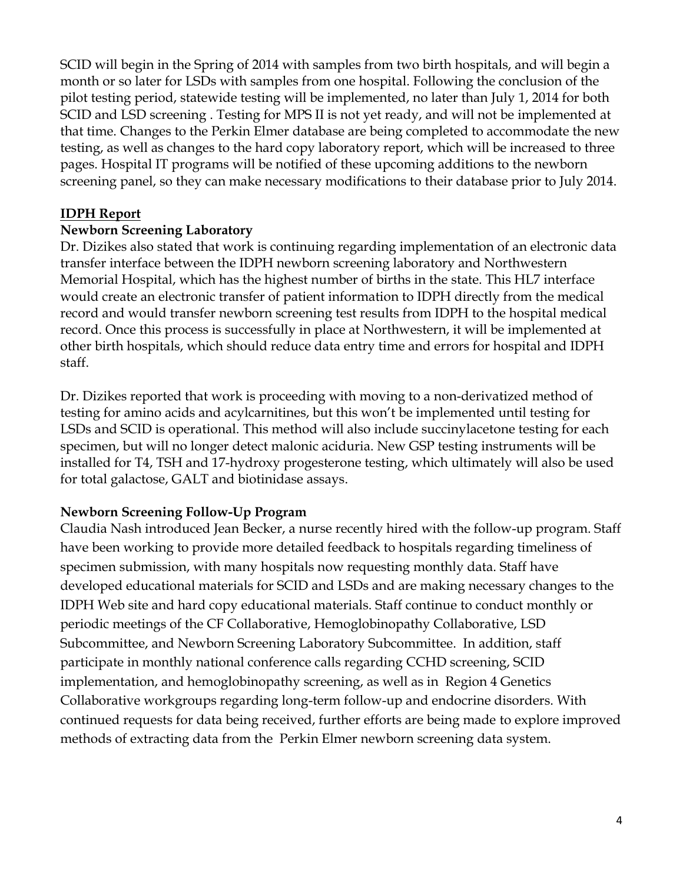SCID will begin in the Spring of 2014 with samples from two birth hospitals, and will begin a month or so later for LSDs with samples from one hospital. Following the conclusion of the pilot testing period, statewide testing will be implemented, no later than July 1, 2014 for both SCID and LSD screening . Testing for MPS II is not yet ready, and will not be implemented at that time. Changes to the Perkin Elmer database are being completed to accommodate the new testing, as well as changes to the hard copy laboratory report, which will be increased to three pages. Hospital IT programs will be notified of these upcoming additions to the newborn screening panel, so they can make necessary modifications to their database prior to July 2014.

### **IDPH Report**

## **Newborn Screening Laboratory**

Dr. Dizikes also stated that work is continuing regarding implementation of an electronic data transfer interface between the IDPH newborn screening laboratory and Northwestern Memorial Hospital, which has the highest number of births in the state. This HL7 interface would create an electronic transfer of patient information to IDPH directly from the medical record and would transfer newborn screening test results from IDPH to the hospital medical record. Once this process is successfully in place at Northwestern, it will be implemented at other birth hospitals, which should reduce data entry time and errors for hospital and IDPH staff.

Dr. Dizikes reported that work is proceeding with moving to a non-derivatized method of testing for amino acids and acylcarnitines, but this won't be implemented until testing for LSDs and SCID is operational. This method will also include succinylacetone testing for each specimen, but will no longer detect malonic aciduria. New GSP testing instruments will be installed for T4, TSH and 17-hydroxy progesterone testing, which ultimately will also be used for total galactose, GALT and biotinidase assays.

# **Newborn Screening Follow-Up Program**

Claudia Nash introduced Jean Becker, a nurse recently hired with the follow-up program. Staff have been working to provide more detailed feedback to hospitals regarding timeliness of specimen submission, with many hospitals now requesting monthly data. Staff have developed educational materials for SCID and LSDs and are making necessary changes to the IDPH Web site and hard copy educational materials. Staff continue to conduct monthly or periodic meetings of the CF Collaborative, Hemoglobinopathy Collaborative, LSD Subcommittee, and Newborn Screening Laboratory Subcommittee. In addition, staff participate in monthly national conference calls regarding CCHD screening, SCID implementation, and hemoglobinopathy screening, as well as in Region 4 Genetics Collaborative workgroups regarding long-term follow-up and endocrine disorders. With continued requests for data being received, further efforts are being made to explore improved methods of extracting data from the Perkin Elmer newborn screening data system.